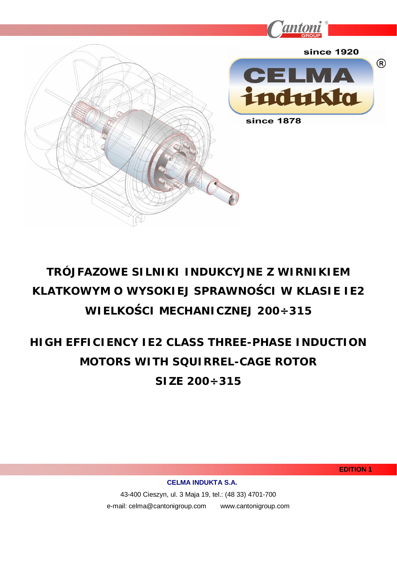

# **TRÓJFAZOWE SILNIKI INDUKCYJNE Z WIRNIKIEM KLATKOWYM O WYSOKIEJ SPRAWNOĝCI W KLASIE IE2 WIELKOĝCI MECHANICZNEJ 200÷315**

# **HIGH EFFICIENCY IE2 CLASS THREE-PHASE INDUCTION MOTORS WITH SQUIRREL-CAGE ROTOR SIZE 200÷315**

**EDITION 1**

**CELMA INDUKTA S.A.** 

43-400 Cieszyn, ul. 3 Maja 19, tel.: (48 33) 4701-700 e-mail: celma@cantonigroup.com www.cantonigroup.com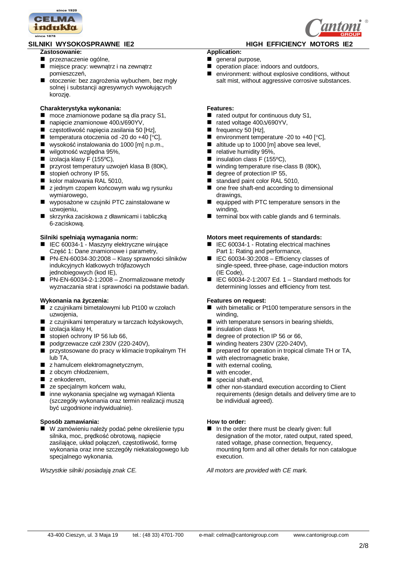

### SILNIKI WYSOKOSPRAWNE IE2 **A The SILNICH EFFICIENCY MOTORS IE2**

#### **Zastosowanie:**

- przeznaczenie ogólne,
- miejsce pracy: wewnątrz i na zewnątrz pomieszczeń.
- otoczenie: bez zagrożenia wybuchem, bez mgły solnej i substancji agresywnych wywołujących korozję.

#### **Charakterystyka wykonania:**

- moce znamionowe podane są dla pracy S1,
- $\blacksquare$  napięcie znamionowe 400 $\Delta$ /690YV,
- częstotliwość napięcia zasilania 50 [Hz],
- temperatura otoczenia od -20 do +40  $[°C]$ ,
- wysokość instalowania do 1000 [m] n.p.m.,
- $\blacksquare$  wilgotność względna 95%,
- $\blacksquare$  izolacia klasy F (155°C),
- **przyrost temperatury uzwoień klasa B (80K).**
- stopień ochrony IP 55,
- kolor malowania RAL 5010,
- z jednym czopem końcowym wału wg rysunku wymiarowego,
- $\blacksquare$  wyposażone w czujniki PTC zainstalowane w uzwojeniu,
- skrzynka zaciskowa z dławnicami i tabliczką 6-zaciskową.

#### **Silniki speániają wymagania norm:**

- IEC 60034-1 Maszyny elektryczne wirujące Część 1: Dane znamionowe i parametry,
- PN-EN-60034-30:2008 Klasy sprawności silników indukcyjnych klatkowych trójfazowych jednobiegowych (kod IE),
- PN-EN-60034-2-1:2008 Znormalizowane metody wyznaczania strat i sprawności na podstawie badań.

### **Wykonania na Īyczenia:**

- z czujnikami bimetalowymi lub Pt100 w czołach uzwojenia,
- z czujnikami temperatury w tarczach łożyskowych,
- $\blacksquare$  izolacja klasy H,
- stopień ochrony IP 56 lub 66,
- podgrzewacze czół 230V (220-240V),
- **przystosowane do pracy w klimacie tropikalnym TH** lub TA,
- z hamulcem elektromagnetycznym,
- $\blacksquare$  z obcym chłodzeniem.
- z enkoderem,
- ze specjalnym końcem wału,
- inne wykonania specjalne wg wymagań Klienta (szczegóáy wykonania oraz termin realizacji muszą być uzgodnione indywidualnie).

#### **Sposób zamawiania:**

■ W zamówieniu należy podać pełne określenie typu silnika, moc, predkość obrotową, napiecie zasilające, układ połączeń, częstotliwość, formę wykonania oraz inne szczegóły niekatalogowego lub specjalnego wykonania.

- **Application:**
- general purpose,
- peration place: indoors and outdoors,
- **E** environment: without explosive conditions, without salt mist, without aggressive corrosive substances.

#### **Features:**

- $\blacksquare$  rated output for continuous duty S1,
- $\blacksquare$  rated voltage 400 $\triangle$ /690YV,
- $\blacksquare$  frequency 50 [Hz],
- **environment temperature -20 to +40 [** $^{\circ}$ **C]**,
- altitude up to 1000 [m] above sea level,
- elative humidity 95%,
- $\blacksquare$  insulation class F (155°C),
- winding temperature rise-class B (80K).
- degree of protection IP 55,
- standard paint color RAL 5010,
- one free shaft-end according to dimensional drawings,
- equipped with PTC temperature sensors in the winding,
- $\blacksquare$  terminal box with cable glands and 6 terminals.

#### **Motors meet requirements of standards:**

- IEC 60034-1 Rotating electrical machines Part 1: Rating and performance,
- $\blacksquare$  IEC 60034-30:2008 Efficiency classes of single-speed, three-phase, cage-induction motors (IE Code),
- $\blacksquare$  IEC 60034-2-1:2007 Ed. 1 Standard methods for determining losses and efficiency from test.

#### **Features on request:**

- with bimetallic or Pt100 temperature sensors in the winding,
- with temperature sensors in bearing shields,
- insulation class H,
- degree of protection IP 56 or 66,
- winding heaters  $230V$  (220-240V),
- **P** prepared for operation in tropical climate TH or TA,
- with electromagnetic brake,
- with external cooling,
- with encoder,
- special shaft-end,
- other non-standard execution according to Client requirements (design details and delivery time are to be individual agreed).

#### **How to order:**

■ In the order there must be clearly given: full designation of the motor, rated output, rated speed, rated voltage, phase connection, frequency, mounting form and all other details for non catalogue execution.

*Wszystkie silniki posiadają znak CE. All motors are provided with CE mark.*

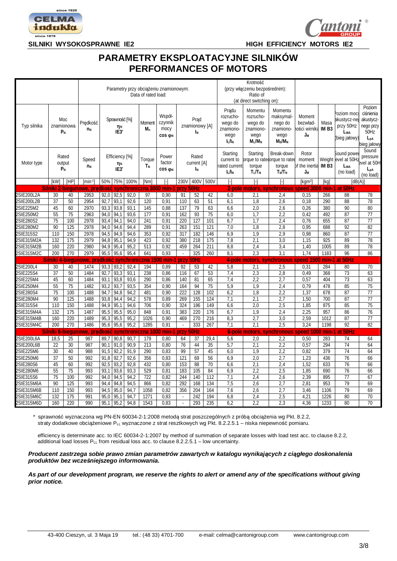



## **PARAMETRY EKSPLOATACYJNE SILNIKÓW PERFORMANCES OF MOTORS**

|                          |                                     |                          |                                                               |              |                                            |              | Data of rated load:      | Parametry przy obciążeniu znamionowym: |                            |                              |            |                                                                 | Krotność<br>(przy włączeniu bezpośrednim):<br>Ratio of<br>(at direct switching on): |                                                                   |                                          |                             |                                                                           |                                                                                         |  |  |  |  |
|--------------------------|-------------------------------------|--------------------------|---------------------------------------------------------------|--------------|--------------------------------------------|--------------|--------------------------|----------------------------------------|----------------------------|------------------------------|------------|-----------------------------------------------------------------|-------------------------------------------------------------------------------------|-------------------------------------------------------------------|------------------------------------------|-----------------------------|---------------------------------------------------------------------------|-----------------------------------------------------------------------------------------|--|--|--|--|
| Typ silnika              | Moc<br>znamionowa<br>$n_N$<br>$P_N$ |                          | Predkość                                                      |              | Sprawność [%]<br>$\eta_{\text{N}}$<br>IE3* |              | Moment<br>M <sub>n</sub> | Współ-<br>czynnik<br>mocy<br>COS ON    |                            | Prad<br>znamionowy [A]<br>Iм |            | Pradu<br>rozrucho-<br>wego do<br>znamiono-<br>wego<br>$I_L/I_N$ | Momentu<br>rozrucho-<br>wego do<br>znamiono-<br>wego<br>$M_L/M_N$                   | Momentu<br>maksymal-<br>nego do<br>znamiono<br>wego<br>$M_b/M_N$  | Moment<br>bezwład-<br>ości wirnika<br>Jм | Masa<br>IM <sub>B3</sub>    | oziom moc<br>ikustycz-ne<br>przy 50Hz<br>L <sub>WA</sub><br>(bieg jałowy) | Poziom<br>ciśnienia<br>akustycz-<br>nego przy<br>50Hz<br>L <sub>pA</sub><br>bieg jałowy |  |  |  |  |
| Motor type               |                                     | Rated<br>output<br>$P_N$ | Speed<br>$n_N$                                                |              | Efficiency [%]<br>$\eta_N$<br>IE3*         |              | Torque<br>ΤN             | Power<br>factor<br>COS ON              | Rated<br>current [A]<br>ΙN |                              |            | Starting<br>current to<br>rated current<br>IL/I <sub>N</sub>    | Starting<br>torque<br>$T_L/T_N$                                                     | Break-down<br>prque to ratedorque to rated<br>torque<br>$T_b/T_N$ | Rotor<br>moment<br>of the inertia<br>Jм  | Weight<br>IM B <sub>3</sub> | Sound powe<br>evel at 50H:<br>Lwa<br>(no load)                            | Sound<br>pressure<br>evel at 50H<br>L <sub>DA</sub><br>(no load)                        |  |  |  |  |
|                          | <b>[kW]</b>                         | [HP]                     | $[min-1]$                                                     | 50%          | 75%                                        | 100%         | [Nm]                     | ſ-1                                    | 230V                       | 400V                         | 500V       | ſ-1                                                             | H                                                                                   | $\lceil - \rceil$                                                 | [kam <sup>2]</sup>                       | [kg]                        |                                                                           | [dB(A)]                                                                                 |  |  |  |  |
|                          |                                     |                          | <u>Silniki 2-biegunowe, predkość synchroniczna 3000 min-1</u> |              |                                            |              |                          |                                        | przy 50Hz                  |                              |            |                                                                 |                                                                                     | 2-pole motors, synchronous speed 3000 min-1                       |                                          |                             | at 50Hz                                                                   |                                                                                         |  |  |  |  |
| 2SIE200L2A               | 30                                  | 40                       | 2953                                                          | 92.0         | 92,5                                       | 92,0         | 97                       | 0.90                                   | 91                         | 52                           | 42         | 6,0                                                             | 2,1                                                                                 | 2,4                                                               | 0,15                                     | 266                         | 88                                                                        | 78                                                                                      |  |  |  |  |
| 2SIE200L2B               | 37<br>45                            | 50                       | 2954<br>2970                                                  | 92,7<br>93,3 | 93,1<br>93,8                               | 92,6<br>93,1 | 120<br>145               | 0.91<br>0.88                           | 110                        | 63<br>79                     | 51<br>63   | 6,1                                                             | 1.8<br>2,0                                                                          | 2,6                                                               | 0.18                                     | 290<br>380                  | 88<br>90                                                                  | 78<br>80                                                                                |  |  |  |  |
| 2SIE225M2<br>2SIE250M2   | 55                                  | 60<br>75                 | 2963                                                          | 94,0         | 94,1                                       | 93,6         | 177                      | 0,91                                   | 137<br>162                 | 93                           | 75         | 6,6<br>6,0                                                      | 1,7                                                                                 | 2,6<br>2,2                                                        | 0,26<br>0,42                             | 492                         | 87                                                                        | $\overline{77}$                                                                         |  |  |  |  |
| 2SIE280S2                | 75                                  | 100                      | 2978                                                          | 93.4         | 94.1                                       | 94,0         | 241                      | 0.91                                   | 220                        | 127                          | 101        | 6,7                                                             | 1.7                                                                                 | 2,4                                                               | 0.76                                     | 655                         | 87                                                                        | 77                                                                                      |  |  |  |  |
| 2SIE280M2                | 90                                  | 125                      | 2978                                                          | 94,0         | 94,6                                       | 94,4         | 289                      | 0,91                                   | 263                        | 151                          | 121        | 7,0                                                             | 1,8                                                                                 | 2,8                                                               | 0,95                                     | 688                         | 92                                                                        | 82                                                                                      |  |  |  |  |
| 2SIE315S2                | 110                                 | 150                      | 2978                                                          | 94.5         | 94.9                                       | 94,6         | 353                      | 0.92                                   | 317                        | 182                          | 146        | 6,9                                                             | 1,9                                                                                 | 2,9                                                               | 0,98                                     | 860                         | 87                                                                        | $\overline{77}$                                                                         |  |  |  |  |
| 2SIE315M2A               | 132                                 | 175                      | 2979                                                          | 94,8         | 95,1                                       | 94,9         | 423                      | 0,92                                   | 380                        | 218                          | 175        | 7,8                                                             | 2,1                                                                                 | 3,0                                                               | 1,15                                     | $\overline{925}$            | 89                                                                        | 78                                                                                      |  |  |  |  |
| 2SIE315M2B               | 160                                 | 220                      | 2980                                                          | 94.9         | 95,4                                       | 95,2         | 513                      | 0,92                                   | 459                        | 264                          | 211        | 8,8                                                             | 2,4                                                                                 | 3,4                                                               | 1,40                                     | 1005                        | 89                                                                        | 78                                                                                      |  |  |  |  |
| 2SIE315M2C               | 200                                 | 270                      | 2979                                                          | 95,5         | 95,6                                       | 95,4         | 641                      | 0,93                                   | $\bar{z}$                  | 325                          | 260        | 8,1                                                             | 2,3                                                                                 | 3,1                                                               | 1,74                                     | 1183                        | 96                                                                        | 86                                                                                      |  |  |  |  |
|                          | Silniki 4-ł                         | vieaun                   | owe, predkość                                                 |              | svr                                        | :hroni       | zna 15                   | 50Hz<br>min<br>przy                    |                            |                              |            |                                                                 | 4-pole motors,                                                                      | synchronous speed                                                 | 1500                                     | min-1 at                    | 50Hz                                                                      |                                                                                         |  |  |  |  |
| 2SIE200L4                | 30                                  | 40                       | 1474                                                          | 93,3         | 93,2                                       | 92,4         | 194                      | 0,89                                   | 92                         | 53                           | 42         | 5,8                                                             | 2,1                                                                                 | 2,5                                                               | 0,31                                     | 284                         | 80                                                                        | 70                                                                                      |  |  |  |  |
| 2SIE225S4                | 37                                  | 50                       | 1484                                                          | 92,7         | 93,3                                       | 93,1         | 238                      | 0.86                                   | 116                        | 67                           | 53         | 7,4                                                             | 2,3<br>2,8                                                                          |                                                                   | 368<br>0.49                              |                             | 73                                                                        | 63                                                                                      |  |  |  |  |
| 2SIE225M4                | 45                                  | 60                       | 1484                                                          | 93,1         | 93,8                                       | 93,6         | 290                      | 0,86                                   | 140                        | 81                           | 65         | 7,4                                                             | 2,2<br>2,7                                                                          |                                                                   | 0,57                                     | 404                         | 73                                                                        | 63                                                                                      |  |  |  |  |
| 2SIE250M4                | 55                                  | 75                       | 1482                                                          | 93.2         | 93.7                                       | 93,5         | 354                      | 0.90                                   | 164                        | 94                           | 75         | 5,9                                                             | 1,9                                                                                 | 2,4                                                               | 0.79                                     | 478                         | 85                                                                        | 75                                                                                      |  |  |  |  |
| 2SIE280S4                | 75                                  | 100                      | 1488                                                          | 94,7         | 94,8                                       | 94,2         | 481                      | 0,90                                   | 222                        | 128                          | 102        | 6,2                                                             | 1,8                                                                                 | 2,2                                                               | 1,37                                     | 678                         | 87                                                                        | $\overline{77}$                                                                         |  |  |  |  |
| 2SIE280M4                | 90                                  | 125                      | 1488                                                          | 93,8         | 94,4                                       | 94,2         | 578                      | 0,89                                   | 269                        | 155                          | 124        | 7,1                                                             | 2,1                                                                                 | 2,7                                                               | 1,50                                     | 700                         | 87                                                                        | $\overline{77}$                                                                         |  |  |  |  |
| 2SIE315S4                | 110                                 | 150                      | 1488                                                          | 94.9         | 95,1                                       | 94,6         | 706                      | 0,90                                   | 324                        | 186                          | 149        | 6,6                                                             | 2,0                                                                                 | 2,5                                                               | 1,85                                     | 875                         | 85                                                                        | 75                                                                                      |  |  |  |  |
| 2SIE315M4A<br>2SIE315M4B | 132<br>160                          | 175<br>220               | 1487<br>1489                                                  | 95,5<br>95,3 | 95,5<br>95,5                               | 95,0<br>95,2 | 848<br>1026              | 0,91<br>0,90                           | 383<br>469                 | 220<br>270                   | 176<br>216 | 6,7<br>8,3                                                      | 1,9<br>2,7                                                                          | 2,4<br>3,0                                                        | 2,25<br>2,59                             | 957<br>1012                 | 86<br>87                                                                  | 76<br>$\overline{77}$                                                                   |  |  |  |  |
| 2SIE315M4C               | 200                                 | 270                      | 1486                                                          | 95,6         | 95,6                                       | 95,2         | 1285                     | 0,91                                   | $\overline{\phantom{a}}$   | 333                          | 267        | 7,1                                                             | 2,1                                                                                 | 2,5                                                               | 3,24                                     | 1198                        | 92                                                                        | 82                                                                                      |  |  |  |  |
|                          |                                     |                          | Silniki 6-biegunowe, predkość                                 |              |                                            |              | synchroniczna 100        | min-1                                  | przy                       | 50Hz                         |            |                                                                 |                                                                                     | 6-pole motors, synchronous speed 1000                             |                                          |                             | min-1 at 50Hz                                                             |                                                                                         |  |  |  |  |
| 2SIE200L6A               | 18,5                                | 25                       | 987                                                           | 89,7         | 90,8                                       | 90,7         | 179                      | 0,80                                   | 64                         | 37                           | 29,4       | 5,6                                                             | 2,0                                                                                 | 2,2                                                               | 0,50                                     | 283                         | 74                                                                        | 64                                                                                      |  |  |  |  |
| 2SIE200L6B               | 22                                  | 30                       | 987                                                           | 90.1         | 91.0                                       | 90.9         | 213                      | 0.80                                   | 76                         | 44                           | 35         | 5,7                                                             | 2,1                                                                                 | 2,2                                                               | 0,57                                     | 294                         | 74                                                                        | 64                                                                                      |  |  |  |  |
| 2SIE225M6                | 30                                  | 40                       | 988                                                           | 91,5         | 92,2                                       | 91,9         | 290                      | 0,83                                   | 99                         | 57                           | 45         | 6,0                                                             | 1,9                                                                                 | 2,2                                                               | 0,82                                     | 379                         | 74                                                                        | 64                                                                                      |  |  |  |  |
| 2SIE250M6                | 37                                  | 50                       | 992                                                           | 91,8         | 92.7                                       | 92,6         | 356                      | 0,83                                   | 121                        | 69                           | 56         | 6,9                                                             | 2,0                                                                                 | 2,7                                                               | 1,23                                     | 436                         | $\overline{76}$                                                           | 66                                                                                      |  |  |  |  |
| 2SIE280S6                | 45                                  | 60                       | 992                                                           | 92,5         | 93,2                                       | 92,8         | 432                      | 0.80                                   | 153                        | 88                           | 70         | 6,6                                                             | 2,1                                                                                 | 2,4                                                               | 1,52                                     | 633                         | 76                                                                        | 66                                                                                      |  |  |  |  |
| 2SIE280M6                | 55                                  | 75                       | 993                                                           | 93,1         | 93,6                                       | 93,3         | 529                      | 0,81                                   | 183                        | 105                          | 84         | 6,9                                                             | 2,2                                                                                 | 2,5                                                               | 1,85                                     | 690                         | 76                                                                        | 66                                                                                      |  |  |  |  |
| 2SIE315S6                | 75                                  | 100                      | 992                                                           | 94,0         | 94,5                                       | 94,2         | 722                      | 0,82                                   | 244                        | 140                          | 112        | 7,1                                                             | 2,4                                                                                 | 2,6                                                               | 2,39                                     | 895                         | 77                                                                        | 67                                                                                      |  |  |  |  |
| 2SIE315M6A               | 90                                  | 125                      | 993                                                           | 94.4         | 94.8                                       | 94,5         | 866                      | 0.82                                   | 292                        | 168                          | 134        | 7,5                                                             | 2.6                                                                                 | 2,7                                                               | 2.81                                     | 953                         | 79                                                                        | 69                                                                                      |  |  |  |  |
| 2SIE315M6B               | 110                                 | 150                      | 993                                                           | 94,5         | 95,0                                       | 94,7         | 1058                     | 0,82                                   | 356                        | 204                          | 164        | 7,6                                                             | 2,6                                                                                 | 2,7                                                               | 3,46                                     | 1106                        | 79                                                                        | 69                                                                                      |  |  |  |  |
| 2SIE315M6C               | 132                                 | $\overline{175}$         | 991                                                           | 95.0         | 95,1                                       | 94,7         | 1271                     | 0,83                                   | $\mathbb{Z}$               | $\overline{242}$             | 194        | 6,8                                                             | 2,4                                                                                 | 2,5                                                               | 4,21                                     | 1226                        | 80                                                                        | $\overline{70}$                                                                         |  |  |  |  |
| 2SIE315M6D               | 160                                 | 220                      | 990                                                           | 95.1         | 95,2                                       | 94,8         | 1543                     | 0.83                                   | ÷,                         | 293                          | 235        | 6.2                                                             | 2.2                                                                                 | 2.3                                                               | 4.36                                     | 1233                        | 80                                                                        | $\overline{70}$                                                                         |  |  |  |  |

\* sprawność wyznaczona wg PN-EN 60034-2-1:2008 metodą strat poszczególnych z próbą obciążenia wg Pkt. 8.2.2, straty dodatkowe obciążeniowe PLL wyznaczone z strat resztkowych wg Pkt. 8.2.2.5.1 – niska niepewność pomiaru.

 efficiency is determinate acc. to IEC 60034-2-1:2007 by method of summation of separate losses with load test acc. to clause 8.2.2, additional load losses  $P_{LL}$  from residual loss acc. to clause 8.2.2.5.1 – low uncertainty.

*Producent zastrzega sobie prawo zmian parametrów zawartych w katalogu wynikających z ciąJáego doskonalenia produktów bez wczeĞniejszego informowania.* 

*As part of our development program, we reserve the rights to alert or amend any of the specifications without giving prior notice.*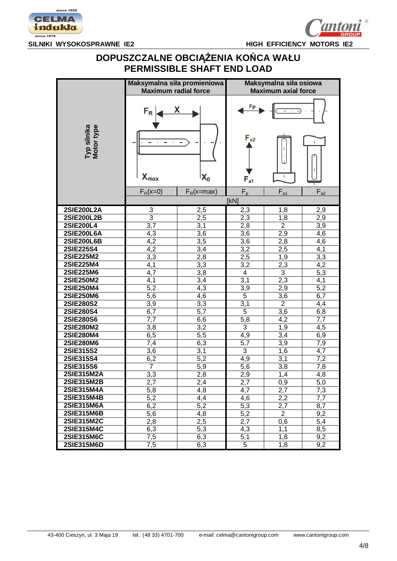

### **DOPUSZCZALNE OBCIĄĩENIA KOēCA WAàU PERMISSIBLE SHAFT END LOAD**

|                                      | Maksymalna siła promieniowa<br><b>Maximum radial force</b> |                | Maksymalna siła osiowa<br><b>Maximum axial force</b> |                       |            |  |  |  |  |  |  |  |
|--------------------------------------|------------------------------------------------------------|----------------|------------------------------------------------------|-----------------------|------------|--|--|--|--|--|--|--|
|                                      | $F_R$                                                      |                | $F_{a2}$                                             |                       |            |  |  |  |  |  |  |  |
| Typ silnika<br>Motor type            | $X_{max}$                                                  | $\mathsf{X}_0$ | $F_{a1}$                                             | $\mathbf{I}$          | L          |  |  |  |  |  |  |  |
|                                      | $F_R(x=0)$                                                 | $F_R(x=max)$   | $F_p$<br>[kN]                                        | $F_{a1}$              | $F_{a2}$   |  |  |  |  |  |  |  |
| 2SIE200L2A                           | $\sqrt{3}$                                                 | 2,5            | 2,3                                                  | 1,8                   | 2,9        |  |  |  |  |  |  |  |
| <b>2SIE200L2B</b>                    | $\overline{3}$                                             | 2,5            | 2,3                                                  | 1,8                   | 2,9        |  |  |  |  |  |  |  |
| <b>2SIE200L4</b>                     | 3,7                                                        | 3,1            | 2,8                                                  | $\overline{2}$        | 3,9        |  |  |  |  |  |  |  |
| <b>2SIE200L6A</b>                    | 4,3                                                        | 3,6            | 3,6                                                  | 2,9                   | 4,6        |  |  |  |  |  |  |  |
| <b>2SIE200L6B</b>                    | $\overline{4,2}$                                           | 3,5            | 3,6                                                  | 2,8                   | 4,6        |  |  |  |  |  |  |  |
| <b>2SIE225S4</b>                     | 4,2                                                        | 3,4            | 3,2                                                  | 2,5                   | 4,1        |  |  |  |  |  |  |  |
| <b>2SIE225M2</b>                     | $\overline{3,3}$                                           | 2,8            | 2,5                                                  | 1,9                   | 3,3        |  |  |  |  |  |  |  |
| <b>2SIE225M4</b>                     | 4,1                                                        | 3,3            | 3,2                                                  | 2,3                   | 4,2        |  |  |  |  |  |  |  |
| 2SIE225M6                            | 4,7                                                        | 3,8            | $\overline{4}$                                       | $\overline{3}$        | 5,3        |  |  |  |  |  |  |  |
| <b>2SIE250M2</b>                     | 4,1                                                        | 3,4            | 3,1                                                  | 2,3                   | 4,1        |  |  |  |  |  |  |  |
| <b>2SIE250M4</b><br><b>2SIE250M6</b> | 5,2<br>5,6                                                 | 4,3<br>4,6     | 3,9<br>$\overline{5}$                                | 2,9                   | 5,2<br>6,7 |  |  |  |  |  |  |  |
| <b>2SIE280S2</b>                     | $\overline{3,9}$                                           | 3,3            | 3,1                                                  | 3,6<br>$\overline{2}$ | 4,4        |  |  |  |  |  |  |  |
| <b>2SIE280S4</b>                     | 6,7                                                        | 5,7            | $\overline{5}$                                       | 3,6                   | 6,8        |  |  |  |  |  |  |  |
| <b>2SIE280S6</b>                     | 7,7                                                        | 6,6            | 5,8                                                  | 4,2                   | 7,7        |  |  |  |  |  |  |  |
| <b>2SIE280M2</b>                     | 3,8                                                        | 3,2            | $\overline{3}$                                       | 1,9                   | 4,5        |  |  |  |  |  |  |  |
| 2SIE280M4                            | 6,5                                                        | 5,5            | 4,9                                                  | 3,4                   | 6,9        |  |  |  |  |  |  |  |
| <b>2SIE280M6</b>                     | 7,4                                                        | 6,3            | 5,7                                                  | 3,9                   | 7,9        |  |  |  |  |  |  |  |
| 2SIE315S2                            | 3,6                                                        | 3,1            | 3                                                    | 1,6                   | 4,7        |  |  |  |  |  |  |  |
| 2SIE315S4                            | 6,2                                                        | 5,2            | 4,9                                                  | 3,1                   | 7,2        |  |  |  |  |  |  |  |
| 2SIE315S6                            | 7                                                          | 5,9            | 5,6                                                  | 3,8                   | 7,8        |  |  |  |  |  |  |  |
| 2SIE315M2A                           | 3,3                                                        | 2,8            | 2,9                                                  | 1,4                   | 4,8        |  |  |  |  |  |  |  |
| 2SIE315M2B                           | 2,7                                                        | 2,4            | 2,7                                                  | 0,9                   | 5,0        |  |  |  |  |  |  |  |
| 2SIE315M4A<br>2SIE315M4B             | 5,8                                                        | 4,8            | 4,7                                                  | 2,7                   | 7,3        |  |  |  |  |  |  |  |
| 2SIE315M6A                           | 5,2<br>6,2                                                 | 4,4<br>5,2     | 4,6<br>5,3                                           | 2,2<br>2,7            | 7,7        |  |  |  |  |  |  |  |
| 2SIE315M6B                           | 5,6                                                        | 4,8            | 5,2                                                  | $\overline{2}$        | 8,7<br>9,2 |  |  |  |  |  |  |  |
| 2SIE315M2C                           | 2,8                                                        | 2,5            | 2,7                                                  | 0,6                   | 5,4        |  |  |  |  |  |  |  |
| <b>2SIE315M4C</b>                    | 6,3                                                        | 5,3            | 4,3                                                  | 1,1                   | 8,5        |  |  |  |  |  |  |  |
| <b>2SIE315M6C</b>                    | $\overline{7,5}$                                           | 6,3            | 5,1                                                  | 1,8                   | 9,2        |  |  |  |  |  |  |  |
| 2SIE315M6D                           | 7,5                                                        | 6,3            | 5                                                    | 1,8                   | 9,2        |  |  |  |  |  |  |  |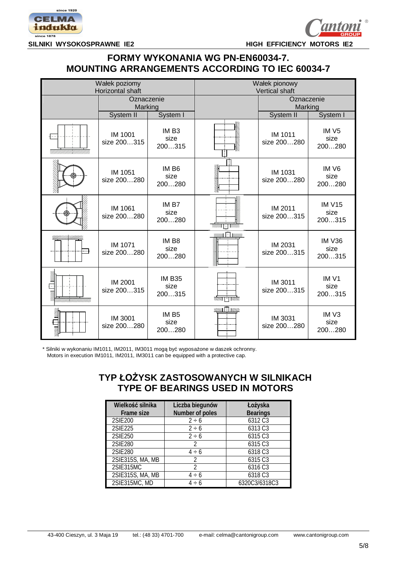



### **FORMY WYKONANIA WG PN-EN60034-7. MOUNTING ARRANGEMENTS ACCORDING TO IEC 60034-7**

|                    | Wałek poziomy          |                                     | Wałek pionowy           |                        |                                    |  |  |  |  |  |  |  |
|--------------------|------------------------|-------------------------------------|-------------------------|------------------------|------------------------------------|--|--|--|--|--|--|--|
|                    | Horizontal shaft       |                                     |                         | <b>Vertical shaft</b>  |                                    |  |  |  |  |  |  |  |
|                    | Oznaczenie             |                                     |                         | Oznaczenie<br>Marking  |                                    |  |  |  |  |  |  |  |
|                    | Marking                |                                     |                         |                        |                                    |  |  |  |  |  |  |  |
|                    | System II              | System I                            |                         | System II              | System I                           |  |  |  |  |  |  |  |
|                    | IM 1001<br>size 200315 | IM <sub>B3</sub><br>size<br>200315  |                         | IM 1011<br>size 200280 | IM <sub>5</sub><br>size<br>200280  |  |  |  |  |  |  |  |
|                    | IM 1051<br>size 200280 | IM <sub>B6</sub><br>size<br>200280  |                         | IM 1031<br>size 200280 | IM <sub>V6</sub><br>size<br>200280 |  |  |  |  |  |  |  |
|                    | IM 1061<br>size 200280 | IM B7<br>size<br>200280             | H                       | IM 2011<br>size 200315 | <b>IM V15</b><br>size<br>200315    |  |  |  |  |  |  |  |
| !!!!!!!!!!!!!!!!!! | IM 1071<br>size 200280 | IM B <sub>8</sub><br>size<br>200280 | $\prod$ $V$             | IM 2031<br>size 200315 | <b>IM V36</b><br>size<br>200315    |  |  |  |  |  |  |  |
|                    | IM 2001<br>size 200315 | <b>IM B35</b><br>size<br>200315     | <u> 2222     1222  </u> | IM 3011<br>size 200315 | IM <sub>V1</sub><br>size<br>200315 |  |  |  |  |  |  |  |
| Z<br>S             | IM 3001<br>size 200280 | IM B <sub>5</sub><br>size<br>200280 | <b>SUSSA ET RUSSE</b>   | IM 3031<br>size 200280 | IM <sub>V3</sub><br>size<br>200280 |  |  |  |  |  |  |  |

\* Silniki w wykonaniu IM1011, IM2011, IM3011 mogą być wyposażone w daszek ochronny. Motors in execution IM1011, IM2011, IM3011 can be equipped with a protective cap.

## **TYP à2ĩYSK ZASTOSOWANYCH W SILNIKACH TYPE OF BEARINGS USED IN MOTORS**

| Wielkość silnika | Liczba biegunów | Łożyska         |
|------------------|-----------------|-----------------|
| Frame size       | Number of poles | <b>Bearings</b> |
| 2SIE200          | $2 \div 6$      | 6312 C3         |
| 2SIE225          | $2 \div 6$      | 6313 C3         |
| 2SIE250          | $2 \div 6$      | 6315 C3         |
| 2SIE280          | 2               | 6315 C3         |
| 2SIE280          | $4 \div 6$      | 6318 C3         |
| 2SIE315S, MA, MB | 2               | 6315 C3         |
| 2SIE315MC        | 2               | 6316 C3         |
| 2SIE315S, MA, MB | $4 \div 6$      | 6318 C3         |
| 2SIE315MC, MD    | 4 ÷ 6           | 6320C3/6318C3   |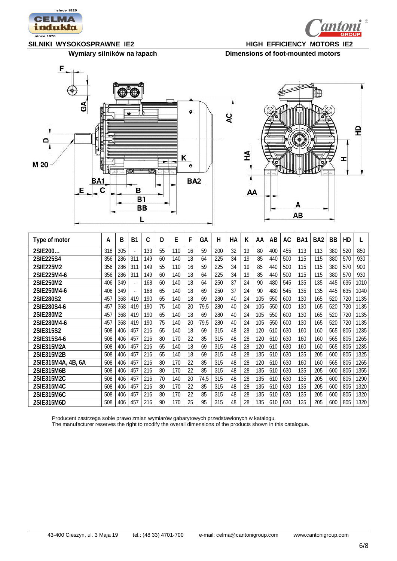



Wymiary silników na łapach Dimensions of foot-mounted motors





| Type of motor      | А   | B   | B <sub>1</sub> | C   | D  | E   | F  | GА   | Н   | НA | К  | AA  | AB  | AC  | BA1 | BA <sub>2</sub> | <b>BB</b> | HD  |      |
|--------------------|-----|-----|----------------|-----|----|-----|----|------|-----|----|----|-----|-----|-----|-----|-----------------|-----------|-----|------|
| 2SIE 200           | 318 | 305 |                | 133 | 55 | 110 | 16 | 59   | 200 | 32 | 19 | 80  | 400 | 455 | 113 | 113             | 380       | 520 | 850  |
| 2SIE225S4          | 356 | 286 | 311            | 149 | 60 | 140 | 18 | 64   | 225 | 34 | 19 | 85  | 440 | 500 | 115 | 115             | 380       | 570 | 930  |
| 2SIE225M2          | 356 | 286 | 311            | 149 | 55 | 110 | 16 | 59   | 225 | 34 | 19 | 85  | 440 | 500 | 115 | 115             | 380       | 570 | 900  |
| 2SIE225M4-6        | 356 | 286 | 311            | 149 | 60 | 140 | 18 | 64   | 225 | 34 | 19 | 85  | 440 | 500 | 115 | 115             | 380       | 570 | 930  |
| 2SIE250M2          | 406 | 349 | ×.             | 168 | 60 | 140 | 18 | 64   | 250 | 37 | 24 | 90  | 480 | 545 | 135 | 135             | 445       | 635 | 1010 |
| 2SIE250M4-6        | 406 | 349 |                | 168 | 65 | 140 | 18 | 69   | 250 | 37 | 24 | 90  | 480 | 545 | 135 | 135             | 445       | 635 | 1040 |
| 2SIE280S2          | 457 | 368 | 419            | 190 | 65 | 140 | 18 | 69   | 280 | 40 | 24 | 105 | 550 | 600 | 130 | 165             | 520       | 720 | 1135 |
| 2SIE280S4-6        | 457 | 368 | 419            | 190 | 75 | 140 | 20 | 79,5 | 280 | 40 | 24 | 105 | 550 | 600 | 130 | 165             | 520       | 720 | 1135 |
| 2SIE280M2          | 457 | 368 | 419            | 190 | 65 | 140 | 18 | 69   | 280 | 40 | 24 | 105 | 550 | 600 | 130 | 165             | 520       | 720 | 1135 |
| 2SIF280M4-6        | 457 | 368 | 419            | 190 | 75 | 140 | 20 | 79,5 | 280 | 40 | 24 | 105 | 550 | 600 | 130 | 165             | 520       | 720 | 1135 |
| 2SIE315S2          | 508 | 406 | 457            | 216 | 65 | 140 | 18 | 69   | 315 | 48 | 28 | 120 | 610 | 630 | 160 | 160             | 565       | 805 | 1235 |
| 2SIE315S4-6        | 508 | 406 | 457            | 216 | 80 | 170 | 22 | 85   | 315 | 48 | 28 | 120 | 610 | 630 | 160 | 160             | 565       | 805 | 1265 |
| 2SIF315M2A         | 508 | 406 | 457            | 216 | 65 | 140 | 18 | 69   | 315 | 48 | 28 | 120 | 610 | 630 | 160 | 160             | 565       | 805 | 1235 |
| 2SIE315M2B         | 508 | 406 | 457            | 216 | 65 | 140 | 18 | 69   | 315 | 48 | 28 | 135 | 610 | 630 | 135 | 205             | 600       | 805 | 1325 |
| 2SIE315M4A, 4B, 6A | 508 | 406 | 457            | 216 | 80 | 170 | 22 | 85   | 315 | 48 | 28 | 120 | 610 | 630 | 160 | 160             | 565       | 805 | 1265 |
| 2SIE315M6B         | 508 | 406 | 457            | 216 | 80 | 170 | 22 | 85   | 315 | 48 | 28 | 135 | 610 | 630 | 135 | 205             | 600       | 805 | 1355 |
| 2SIE315M2C         | 508 | 406 | 457            | 216 | 70 | 140 | 20 | 74,5 | 315 | 48 | 28 | 135 | 610 | 630 | 135 | 205             | 600       | 805 | 1290 |
| 2SIE315M4C         | 508 | 406 | 457            | 216 | 80 | 170 | 22 | 85   | 315 | 48 | 28 | 135 | 610 | 630 | 135 | 205             | 600       | 805 | 1320 |
| 2SIF315M6C         | 508 | 406 | 457            | 216 | 80 | 170 | 22 | 85   | 315 | 48 | 28 | 135 | 610 | 630 | 135 | 205             | 600       | 805 | 1320 |
| 2SIE315M6D         | 508 | 406 | 457            | 216 | 90 | 170 | 25 | 95   | 315 | 48 | 28 | 135 | 610 | 630 | 135 | 205             | 600       | 805 | 1320 |

Producent zastrzega sobie prawo zmian wymiarów gabarytowych przedstawionych w katalogu.

The manufacturer reserves the right to modify the overall dimensions of the products shown in this catalogue.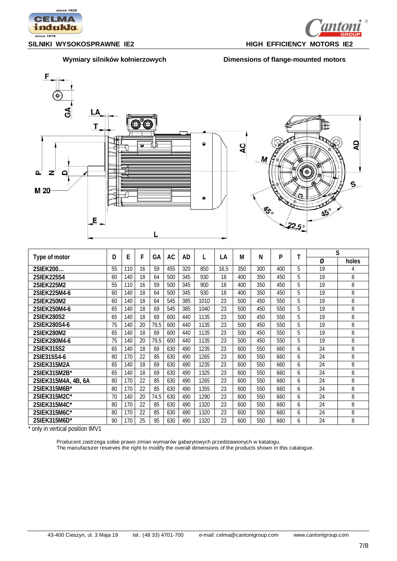









| Type of motor       |    | E   | F  | GА   | AC  | AD  |      | LA   | M   | N   | P   | т | S  |       |  |  |
|---------------------|----|-----|----|------|-----|-----|------|------|-----|-----|-----|---|----|-------|--|--|
|                     |    |     |    |      |     |     |      |      |     |     |     |   | Ø  | holes |  |  |
| 2SIEK200            | 55 | 110 | 16 | 59   | 455 | 320 | 850  | 16.5 | 350 | 300 | 400 | 5 | 19 | 4     |  |  |
| 2SIEK225S4          | 60 | 140 | 18 | 64   | 500 | 345 | 930  | 18   | 400 | 350 | 450 | 5 | 19 | 8     |  |  |
| 2SIEK225M2          | 55 | 110 | 16 | 59   | 500 | 345 | 900  | 18   | 400 | 350 | 450 | 5 | 19 | 8     |  |  |
| 2SIEK225M4-6        | 60 | 140 | 18 | 64   | 500 | 345 | 930  | 18   | 400 | 350 | 450 | 5 | 19 | 8     |  |  |
| 2SIEK250M2          | 60 | 140 | 18 | 64   | 545 | 385 | 1010 | 23   | 500 | 450 | 550 | 5 | 19 | 8     |  |  |
| 2SIEK250M4-6        | 65 | 140 | 18 | 69   | 545 | 385 | 1040 | 23   | 500 | 450 | 550 | 5 | 19 | 8     |  |  |
| 2SIEK280S2          | 65 | 140 | 18 | 69   | 600 | 440 | 1135 | 23   | 500 | 450 | 550 | 5 | 19 | 8     |  |  |
| 2SIEK280S4-6        | 75 | 140 | 20 | 79,5 | 600 | 440 | 1135 | 23   | 500 | 450 | 550 | 5 | 19 | 8     |  |  |
| 2SIEK280M2          | 65 | 140 | 18 | 69   | 600 | 440 | 1135 | 23   | 500 | 450 | 550 | 5 | 19 | 8     |  |  |
| 2SIEK280M4-6        | 75 | 140 | 20 | 79,5 | 600 | 440 | 1135 | 23   | 500 | 450 | 550 | 5 | 19 | 8     |  |  |
| 2SIEK315S2          | 65 | 140 | 18 | 69   | 630 | 490 | 1235 | 23   | 600 | 550 | 660 | 6 | 24 | 8     |  |  |
| 2SIE315S4-6         | 80 | 170 | 22 | 85   | 630 | 490 | 1265 | 23   | 600 | 550 | 660 | 6 | 24 | 8     |  |  |
| 2SIEK315M2A         | 65 | 140 | 18 | 69   | 630 | 490 | 1235 | 23   | 600 | 550 | 660 | 6 | 24 | 8     |  |  |
| 2SIEK315M2B*        | 65 | 140 | 18 | 69   | 630 | 490 | 1325 | 23   | 600 | 550 | 660 | 6 | 24 | 8     |  |  |
| 2SIEK315M4A, 4B, 6A | 80 | 170 | 22 | 85   | 630 | 490 | 1265 | 23   | 600 | 550 | 660 | 6 | 24 | 8     |  |  |
| 2SIEK315M6B*        | 80 | 170 | 22 | 85   | 630 | 490 | 1355 | 23   | 600 | 550 | 660 | 6 | 24 | 8     |  |  |
| 2SIEK315M2C*        | 70 | 140 | 20 | 74,5 | 630 | 490 | 1290 | 23   | 600 | 550 | 660 | 6 | 24 | 8     |  |  |
| 2SIEK315M4C*        | 80 | 170 | 22 | 85   | 630 | 490 | 1320 | 23   | 600 | 550 | 660 | 6 | 24 | 8     |  |  |
| 2SIEK315M6C*        | 80 | 170 | 22 | 85   | 630 | 490 | 1320 | 23   | 600 | 550 | 660 | 6 | 24 | 8     |  |  |
| 2SIEK315M6D*        | 90 | 170 | 25 | 95   | 630 | 490 | 1320 | 23   | 600 | 550 | 660 | 6 | 24 | 8     |  |  |

\* only in vertical position IMV1

Producent zastrzega sobie prawo zmian wymiarów gabarytowych przedstawionych w katalogu. The manufacturer reserves the right to modify the overall dimensions of the products shown in this catalogue.